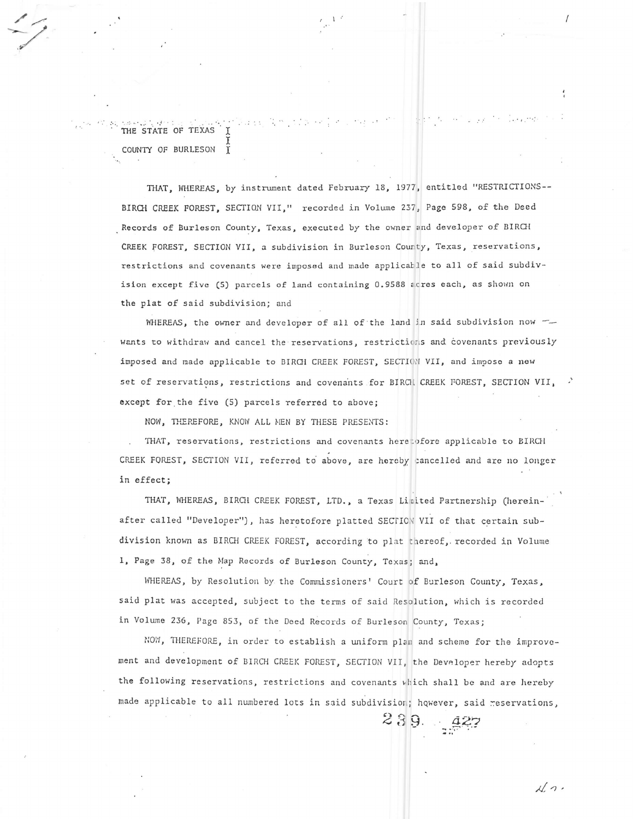THE STATE OF TEXAS COUNTY OF BURLESON  $\hat{I}$ 

THAT, WHEREAS, by instrument dated February 18, 1977, entitled "RESTRICTIONS--BIRCH CREEK FOREST, SECTION VII," recorded in Volume 237, Page 598, of the Deed Records of Burleson County, Texas, executed by the owner and developer of BIRCH CREEK FOREST, SECTION VII, a subdivision in Burleson County, Texas, reservations, restrictions and covenants were imposed and made applicable to all of said subdivision except five (5) parcels of land containing 0.9588 acres each, as shown on the plat of said subdivision; and

WHEREAS, the owner and developer of all of the land in said subdivision now wants to withdraw and cancel the reservations, restrictions and covenants previously imposed and made applicable to BIRCH CREEK FOREST, SECTION VII, and impose a new set of reservations, restrictions and covenants for BIRCH CREEK FOREST, SECTION VII, except for the five (5) parcels referred to above;

NOW, THEREFORE, KNOW ALL MEN BY THESE PRESENTS:

THAT, reservations, restrictions and covenants heretofore applicable to BIRCH CREEK FOREST, SECTION VII, referred to above, are hereby cancelled and are no longer in effect;

THAT, WHEREAS, BIRCH CREEK FOREST, LTD., a Texas Limited Partnership (hereinafter called "Developer"), has heretofore platted SECTION VII of that certain subdivision known as BIRCH CREEK FOREST, according to plat thereof, recorded in Volume 1, Page 38, of the Map Records of Burleson County, Texas; and,

WHEREAS, by Resolution by the Commissioners' Court of Burleson County, Texas, said plat was accepted, subject to the terms of said Resolution, which is recorded in Volume 236, Page 853, of the Deed Records of Burleson County, Texas;

NOW, THEREFORE, in order to establish a uniform plan and scheme for the improvement and development of BIRCH CREEK FOREST, SECTION VII, the Developer hereby adopts the following reservations, restrictions and covenants which shall be and are hereby made applicable to all numbered lots in said subdivision; however, said reservations,

 $239.222$ 

 $\sqrt{2}$